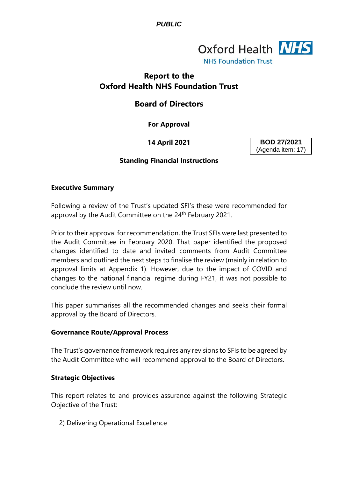

# **Report to the Oxford Health NHS Foundation Trust**

# **Board of Directors**

**For Approval**

**14 April 2021**

**BOD 27/2021** (Agenda item: 17)

## **Standing Financial Instructions**

#### **Executive Summary**

Following a review of the Trust's updated SFI's these were recommended for approval by the Audit Committee on the 24<sup>th</sup> February 2021.

Prior to their approval for recommendation, the Trust SFIs were last presented to the Audit Committee in February 2020. That paper identified the proposed changes identified to date and invited comments from Audit Committee members and outlined the next steps to finalise the review (mainly in relation to approval limits at Appendix 1). However, due to the impact of COVID and changes to the national financial regime during FY21, it was not possible to conclude the review until now.

This paper summarises all the recommended changes and seeks their formal approval by the Board of Directors.

## **Governance Route/Approval Process**

The Trust's governance framework requires any revisions to SFIs to be agreed by the Audit Committee who will recommend approval to the Board of Directors.

## **Strategic Objectives**

This report relates to and provides assurance against the following Strategic Objective of the Trust:

2) Delivering Operational Excellence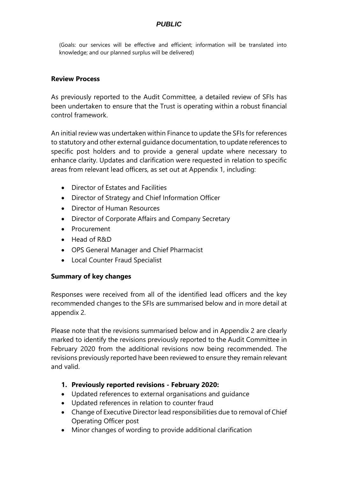(Goals: our services will be effective and efficient; information will be translated into knowledge; and our planned surplus will be delivered)

## **Review Process**

As previously reported to the Audit Committee, a detailed review of SFIs has been undertaken to ensure that the Trust is operating within a robust financial control framework.

An initial review was undertaken within Finance to update the SFIs for references to statutory and other external guidance documentation, to update references to specific post holders and to provide a general update where necessary to enhance clarity. Updates and clarification were requested in relation to specific areas from relevant lead officers, as set out at Appendix 1, including:

- Director of Estates and Facilities
- Director of Strategy and Chief Information Officer
- Director of Human Resources
- Director of Corporate Affairs and Company Secretary
- Procurement
- Head of R&D
- OPS General Manager and Chief Pharmacist
- Local Counter Fraud Specialist

## **Summary of key changes**

Responses were received from all of the identified lead officers and the key recommended changes to the SFIs are summarised below and in more detail at appendix 2.

Please note that the revisions summarised below and in Appendix 2 are clearly marked to identify the revisions previously reported to the Audit Committee in February 2020 from the additional revisions now being recommended. The revisions previously reported have been reviewed to ensure they remain relevant and valid.

- **1. Previously reported revisions - February 2020:**
- Updated references to external organisations and guidance
- Updated references in relation to counter fraud
- Change of Executive Director lead responsibilities due to removal of Chief Operating Officer post
- Minor changes of wording to provide additional clarification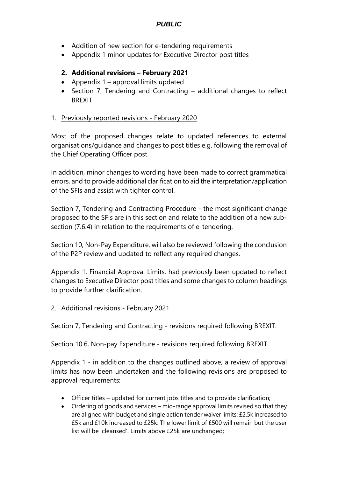- Addition of new section for e-tendering requirements
- Appendix 1 minor updates for Executive Director post titles

## **2. Additional revisions – February 2021**

- Appendix 1 approval limits updated
- Section 7, Tendering and Contracting additional changes to reflect BREXIT

## 1. Previously reported revisions - February 2020

Most of the proposed changes relate to updated references to external organisations/guidance and changes to post titles e.g. following the removal of the Chief Operating Officer post.

In addition, minor changes to wording have been made to correct grammatical errors, and to provide additional clarification to aid the interpretation/application of the SFIs and assist with tighter control.

Section 7, Tendering and Contracting Procedure - the most significant change proposed to the SFIs are in this section and relate to the addition of a new subsection (7.6.4) in relation to the requirements of e-tendering.

Section 10, Non-Pay Expenditure, will also be reviewed following the conclusion of the P2P review and updated to reflect any required changes.

Appendix 1, Financial Approval Limits, had previously been updated to reflect changes to Executive Director post titles and some changes to column headings to provide further clarification.

2. Additional revisions - February 2021

Section 7, Tendering and Contracting - revisions required following BREXIT.

Section 10.6, Non-pay Expenditure - revisions required following BREXIT.

Appendix 1 - in addition to the changes outlined above, a review of approval limits has now been undertaken and the following revisions are proposed to approval requirements:

- Officer titles updated for current jobs titles and to provide clarification;
- Ordering of goods and services mid-range approval limits revised so that they are aligned with budget and single action tender waiver limits: £2.5k increased to £5k and £10k increased to £25k. The lower limit of £500 will remain but the user list will be 'cleansed'. Limits above £25k are unchanged;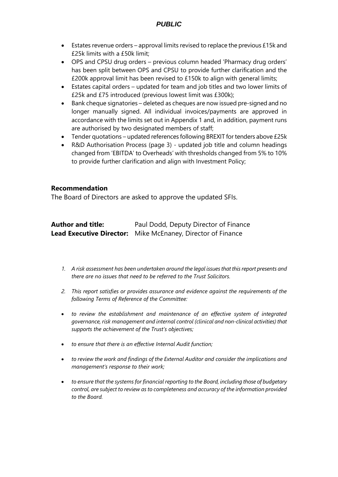- Estates revenue orders approval limits revised to replace the previous £15k and £25k limits with a £50k limit;
- OPS and CPSU drug orders previous column headed 'Pharmacy drug orders' has been split between OPS and CPSU to provide further clarification and the £200k approval limit has been revised to £150k to align with general limits;
- Estates capital orders updated for team and job titles and two lower limits of £25k and £75 introduced (previous lowest limit was £300k);
- Bank cheque signatories deleted as cheques are now issued pre-signed and no longer manually signed. All individual invoices/payments are approved in accordance with the limits set out in Appendix 1 and, in addition, payment runs are authorised by two designated members of staff;
- Tender quotations updated references following BREXIT for tenders above £25k
- R&D Authorisation Process (page 3) updated job title and column headings changed from 'EBITDA' to Overheads' with thresholds changed from 5% to 10% to provide further clarification and align with Investment Policy;

#### **Recommendation**

The Board of Directors are asked to approve the updated SFIs.

| <b>Author and title:</b> | Paul Dodd, Deputy Director of Finance                              |
|--------------------------|--------------------------------------------------------------------|
|                          | <b>Lead Executive Director:</b> Mike McEnaney, Director of Finance |

- *1. A risk assessment has been undertaken around the legal issues that this report presents and there are no issues that need to be referred to the Trust Solicitors.*
- *2. This report satisfies or provides assurance and evidence against the requirements of the following Terms of Reference of the Committee:*
- *to review the establishment and maintenance of an effective system of integrated governance, risk management and internal control (clinical and non-clinical activities) that supports the achievement of the Trust's objectives;*
- *to ensure that there is an effective Internal Audit function;*
- *to review the work and findings of the External Auditor and consider the implications and management's response to their work;*
- *to ensure that the systems for financial reporting to the Board, including those of budgetary control, are subject to review as to completeness and accuracy of the information provided to the Board.*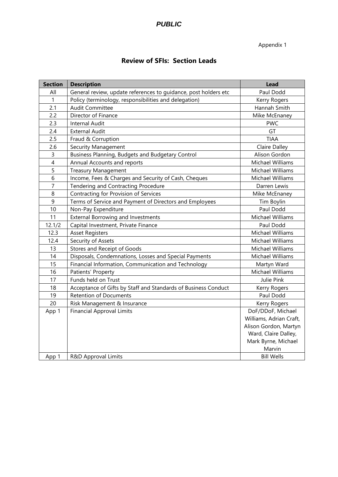Appendix 1

# **Review of SFIs: Section Leads**

| <b>Section</b> | <b>Description</b>                                              | <b>Lead</b>             |
|----------------|-----------------------------------------------------------------|-------------------------|
| All            | General review, update references to guidance, post holders etc | Paul Dodd               |
| 1              | Policy (terminology, responsibilities and delegation)           | Kerry Rogers            |
| 2.1            | <b>Audit Committee</b>                                          | Hannah Smith            |
| 2.2            | Director of Finance                                             | Mike McEnaney           |
| 2.3            | Internal Audit                                                  | <b>PWC</b>              |
| 2.4            | <b>External Audit</b>                                           | GT                      |
| 2.5            | Fraud & Corruption                                              | <b>TIAA</b>             |
| 2.6            | Security Management                                             | Claire Dalley           |
| 3              | Business Planning, Budgets and Budgetary Control                | Alison Gordon           |
| $\overline{4}$ | Annual Accounts and reports                                     | Michael Williams        |
| 5              | <b>Treasury Management</b>                                      | Michael Williams        |
| 6              | Income, Fees & Charges and Security of Cash, Cheques            | Michael Williams        |
| $\overline{7}$ | Tendering and Contracting Procedure                             | Darren Lewis            |
| 8              | Contracting for Provision of Services                           | Mike McEnaney           |
| 9              | Terms of Service and Payment of Directors and Employees         | Tim Boylin              |
| 10             | Non-Pay Expenditure                                             | Paul Dodd               |
| 11             | <b>External Borrowing and Investments</b>                       | Michael Williams        |
| 12.1/2         | Capital Investment, Private Finance                             | Paul Dodd               |
| 12.3           | <b>Asset Registers</b>                                          | Michael Williams        |
| 12.4           | Security of Assets                                              | Michael Williams        |
| 13             | Stores and Receipt of Goods                                     | Michael Williams        |
| 14             | Disposals, Condemnations, Losses and Special Payments           | Michael Williams        |
| 15             | Financial Information, Communication and Technology             | Martyn Ward             |
| 16             | Patients' Property                                              | Michael Williams        |
| 17             | Funds held on Trust                                             | Julie Pink              |
| 18             | Acceptance of Gifts by Staff and Standards of Business Conduct  | Kerry Rogers            |
| 19             | <b>Retention of Documents</b>                                   | Paul Dodd               |
| 20             | Risk Management & Insurance                                     | Kerry Rogers            |
| App 1          | <b>Financial Approval Limits</b>                                | DoF/DDoF, Michael       |
|                |                                                                 | Williams, Adrian Craft, |
|                |                                                                 | Alison Gordon, Martyn   |
|                |                                                                 | Ward, Claire Dalley,    |
|                |                                                                 | Mark Byrne, Michael     |
|                |                                                                 | Marvin                  |
| App 1          | R&D Approval Limits                                             | <b>Bill Wells</b>       |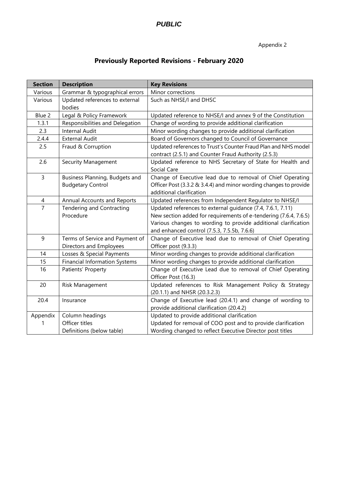## Appendix 2

# **Previously Reported Revisions - February 2020**

| <b>Section</b> | <b>Description</b>                                         | <b>Key Revisions</b>                                                                                                                                                                                                                            |  |
|----------------|------------------------------------------------------------|-------------------------------------------------------------------------------------------------------------------------------------------------------------------------------------------------------------------------------------------------|--|
| Various        | Grammar & typographical errors                             | Minor corrections                                                                                                                                                                                                                               |  |
| Various        | Updated references to external<br>bodies                   | Such as NHSE/I and DHSC                                                                                                                                                                                                                         |  |
| Blue 2         | Legal & Policy Framework                                   | Updated reference to NHSE/I and annex 9 of the Constitution                                                                                                                                                                                     |  |
| 1.3.1          | Responsibilities and Delegation                            | Change of wording to provide additional clarification                                                                                                                                                                                           |  |
| 2.3            | <b>Internal Audit</b>                                      | Minor wording changes to provide additional clarification                                                                                                                                                                                       |  |
| 2.4.4          | <b>External Audit</b>                                      | Board of Governors changed to Council of Governance                                                                                                                                                                                             |  |
| 2.5            | Fraud & Corruption                                         | Updated references to Trust's Counter Fraud Plan and NHS model<br>contract (2.5.1) and Counter Fraud Authority (2.5.3)                                                                                                                          |  |
| 2.6            | Security Management                                        | Updated reference to NHS Secretary of State for Health and<br>Social Care                                                                                                                                                                       |  |
| 3              | Business Planning, Budgets and<br><b>Budgetary Control</b> | Change of Executive lead due to removal of Chief Operating<br>Officer Post (3.3.2 & 3.4.4) and minor wording changes to provide<br>additional clarification                                                                                     |  |
| 4              | Annual Accounts and Reports                                | Updated references from Independent Regulator to NHSE/I                                                                                                                                                                                         |  |
| $\overline{7}$ | Tendering and Contracting<br>Procedure                     | Updated references to external guidance (7.4, 7.6.1, 7.11)<br>New section added for requirements of e-tendering (7.6.4, 7.6.5)<br>Various changes to wording to provide additional clarification<br>and enhanced control (7.5.3, 7.5.5b, 7.6.6) |  |
| 9              | Terms of Service and Payment of<br>Directors and Employees | Change of Executive lead due to removal of Chief Operating<br>Officer post (9.3.3)                                                                                                                                                              |  |
| 14             | Losses & Special Payments                                  | Minor wording changes to provide additional clarification                                                                                                                                                                                       |  |
| 15             | <b>Financial Information Systems</b>                       | Minor wording changes to provide additional clarification                                                                                                                                                                                       |  |
| 16             | Patients' Property                                         | Change of Executive Lead due to removal of Chief Operating<br>Officer Post (16.3)                                                                                                                                                               |  |
| 20             | Risk Management                                            | Updated references to Risk Management Policy & Strategy<br>(20.1.1) and NHSR (20.3.2.3)                                                                                                                                                         |  |
| 20.4           | Insurance                                                  | Change of Executive lead (20.4.1) and change of wording to<br>provide additional clarification (20.4.2)                                                                                                                                         |  |
| Appendix       | Column headings                                            | Updated to provide additional clarification                                                                                                                                                                                                     |  |
| 1              | Officer titles                                             | Updated for removal of COO post and to provide clarification                                                                                                                                                                                    |  |
|                | Definitions (below table)                                  | Wording changed to reflect Executive Director post titles                                                                                                                                                                                       |  |